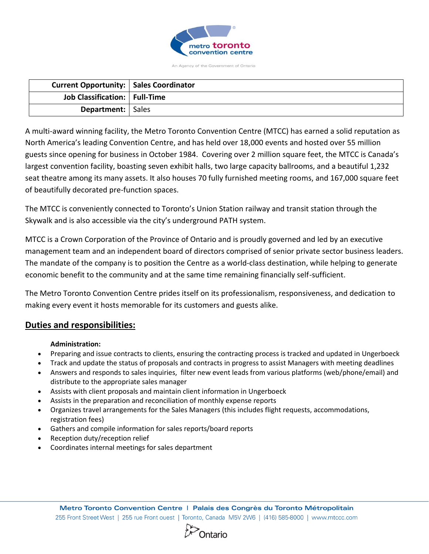

An Agency of the Government of Ontario

| <b>Current Opportunity:   Sales Coordinator</b> |  |
|-------------------------------------------------|--|
| Job Classification:   Full-Time                 |  |
| <b>Department:</b>   Sales                      |  |

A multi-award winning facility, the Metro Toronto Convention Centre (MTCC) has earned a solid reputation as North America's leading Convention Centre, and has held over 18,000 events and hosted over 55 million guests since opening for business in October 1984. Covering over 2 million square feet, the MTCC is Canada's largest convention facility, boasting seven exhibit halls, two large capacity ballrooms, and a beautiful 1,232 seat theatre among its many assets. It also houses 70 fully furnished meeting rooms, and 167,000 square feet of beautifully decorated pre-function spaces.

The MTCC is conveniently connected to Toronto's Union Station railway and transit station through the Skywalk and is also accessible via the city's underground PATH system.

MTCC is a Crown Corporation of the Province of Ontario and is proudly governed and led by an executive management team and an independent board of directors comprised of senior private sector business leaders. The mandate of the company is to position the Centre as a world-class destination, while helping to generate economic benefit to the community and at the same time remaining financially self-sufficient.

The Metro Toronto Convention Centre prides itself on its professionalism, responsiveness, and dedication to making every event it hosts memorable for its customers and guests alike.

# **Duties and responsibilities:**

## **Administration:**

- Preparing and issue contracts to clients, ensuring the contracting process is tracked and updated in Ungerboeck
- Track and update the status of proposals and contracts in progress to assist Managers with meeting deadlines
- Answers and responds to sales inquiries, filter new event leads from various platforms (web/phone/email) and distribute to the appropriate sales manager
- Assists with client proposals and maintain client information in Ungerboeck
- Assists in the preparation and reconciliation of monthly expense reports
- Organizes travel arrangements for the Sales Managers (this includes flight requests, accommodations, registration fees)
- Gathers and compile information for sales reports/board reports
- Reception duty/reception relief
- Coordinates internal meetings for sales department